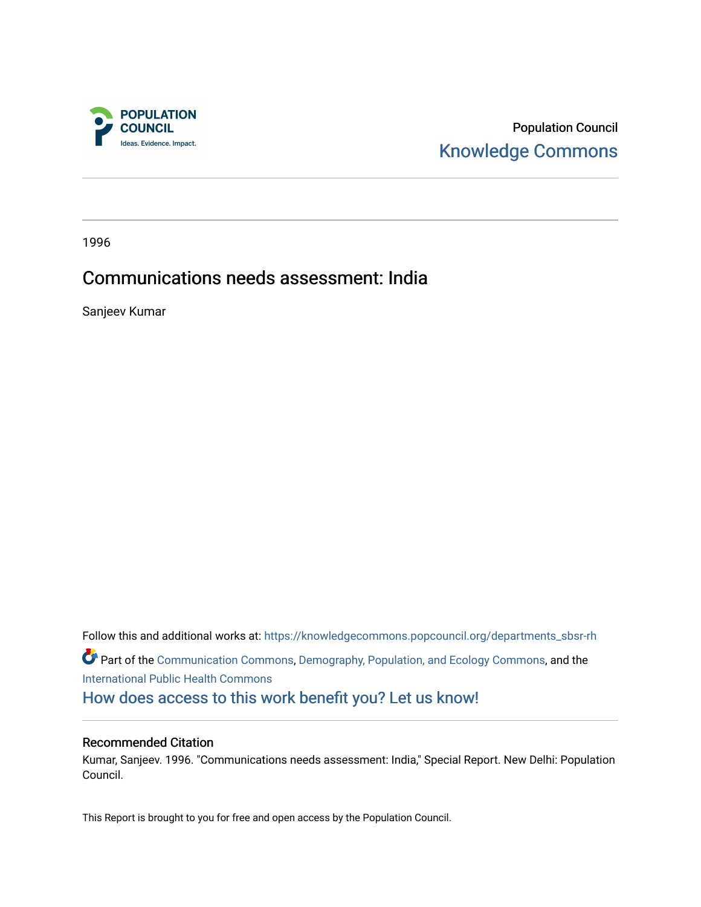

Population Council [Knowledge Commons](https://knowledgecommons.popcouncil.org/) 

1996

# Communications needs assessment: India

Sanjeev Kumar

Follow this and additional works at: [https://knowledgecommons.popcouncil.org/departments\\_sbsr-rh](https://knowledgecommons.popcouncil.org/departments_sbsr-rh?utm_source=knowledgecommons.popcouncil.org%2Fdepartments_sbsr-rh%2F2027&utm_medium=PDF&utm_campaign=PDFCoverPages)  Part of the [Communication Commons,](https://network.bepress.com/hgg/discipline/325?utm_source=knowledgecommons.popcouncil.org%2Fdepartments_sbsr-rh%2F2027&utm_medium=PDF&utm_campaign=PDFCoverPages) [Demography, Population, and Ecology Commons](https://network.bepress.com/hgg/discipline/418?utm_source=knowledgecommons.popcouncil.org%2Fdepartments_sbsr-rh%2F2027&utm_medium=PDF&utm_campaign=PDFCoverPages), and the [International Public Health Commons](https://network.bepress.com/hgg/discipline/746?utm_source=knowledgecommons.popcouncil.org%2Fdepartments_sbsr-rh%2F2027&utm_medium=PDF&utm_campaign=PDFCoverPages)  [How does access to this work benefit you? Let us know!](https://pcouncil.wufoo.com/forms/open-access-to-population-council-research/)

#### Recommended Citation

Kumar, Sanjeev. 1996. "Communications needs assessment: India," Special Report. New Delhi: Population Council.

This Report is brought to you for free and open access by the Population Council.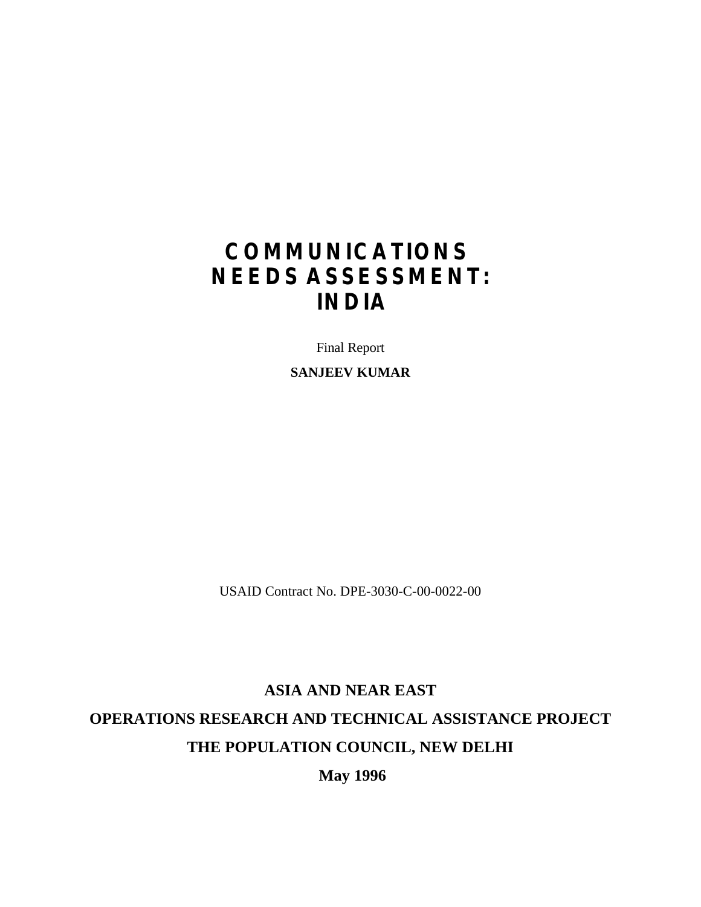# **COMMUNICATIONS NEEDS ASSESSMENT: INDIA**

Final Report

**SANJEEV KUMAR**

USAID Contract No. DPE-3030-C-00-0022-00

# **ASIA AND NEAR EAST OPERATIONS RESEARCH AND TECHNICAL ASSISTANCE PROJECT THE POPULATION COUNCIL, NEW DELHI**

**May 1996**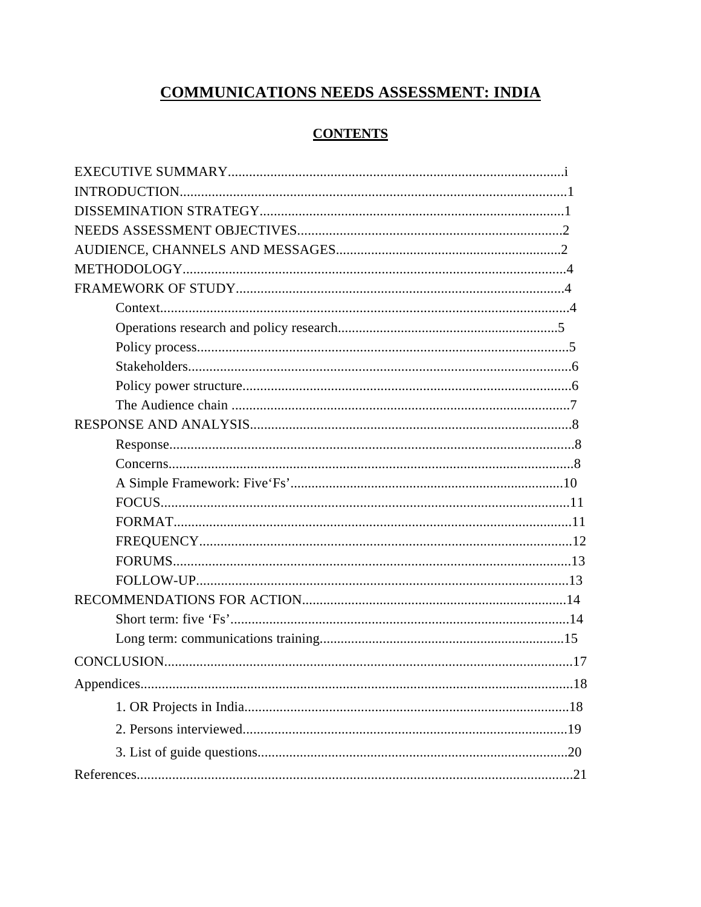# **COMMUNICATIONS NEEDS ASSESSMENT: INDIA**

#### **CONTENTS**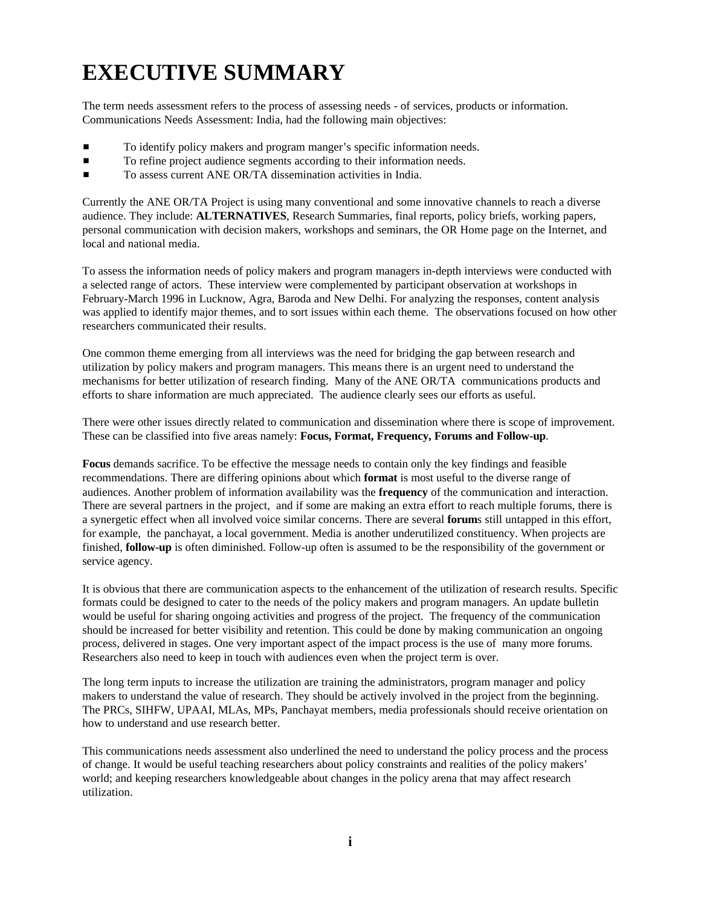# **EXECUTIVE SUMMARY**

The term needs assessment refers to the process of assessing needs - of services, products or information. Communications Needs Assessment: India, had the following main objectives:

- To identify policy makers and program manger's specific information needs.
- To refine project audience segments according to their information needs.
- **TO assess current ANE OR/TA dissemination activities in India.**

Currently the ANE OR/TA Project is using many conventional and some innovative channels to reach a diverse audience. They include: **ALTERNATIVES**, Research Summaries, final reports, policy briefs, working papers, personal communication with decision makers, workshops and seminars, the OR Home page on the Internet, and local and national media.

To assess the information needs of policy makers and program managers in-depth interviews were conducted with a selected range of actors. These interview were complemented by participant observation at workshops in February-March 1996 in Lucknow, Agra, Baroda and New Delhi. For analyzing the responses, content analysis was applied to identify major themes, and to sort issues within each theme. The observations focused on how other researchers communicated their results.

One common theme emerging from all interviews was the need for bridging the gap between research and utilization by policy makers and program managers. This means there is an urgent need to understand the mechanisms for better utilization of research finding. Many of the ANE OR/TA communications products and efforts to share information are much appreciated. The audience clearly sees our efforts as useful.

There were other issues directly related to communication and dissemination where there is scope of improvement. These can be classified into five areas namely: **Focus, Format, Frequency, Forums and Follow-up**.

**Focus** demands sacrifice. To be effective the message needs to contain only the key findings and feasible recommendations. There are differing opinions about which **format** is most useful to the diverse range of audiences. Another problem of information availability was the **frequency** of the communication and interaction. There are several partners in the project, and if some are making an extra effort to reach multiple forums, there is a synergetic effect when all involved voice similar concerns. There are several **forum**s still untapped in this effort, for example, the panchayat, a local government. Media is another underutilized constituency. When projects are finished, **follow-up** is often diminished. Follow-up often is assumed to be the responsibility of the government or service agency.

It is obvious that there are communication aspects to the enhancement of the utilization of research results. Specific formats could be designed to cater to the needs of the policy makers and program managers. An update bulletin would be useful for sharing ongoing activities and progress of the project. The frequency of the communication should be increased for better visibility and retention. This could be done by making communication an ongoing process, delivered in stages. One very important aspect of the impact process is the use of many more forums. Researchers also need to keep in touch with audiences even when the project term is over.

The long term inputs to increase the utilization are training the administrators, program manager and policy makers to understand the value of research. They should be actively involved in the project from the beginning. The PRCs, SIHFW, UPAAI, MLAs, MPs, Panchayat members, media professionals should receive orientation on how to understand and use research better.

This communications needs assessment also underlined the need to understand the policy process and the process of change. It would be useful teaching researchers about policy constraints and realities of the policy makers' world; and keeping researchers knowledgeable about changes in the policy arena that may affect research utilization.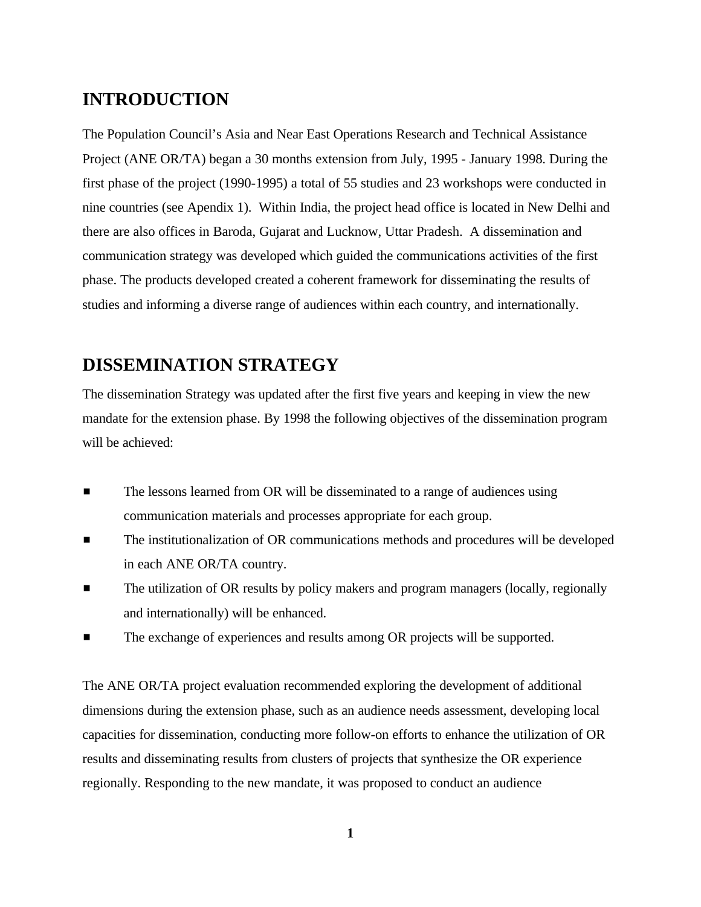# **INTRODUCTION**

The Population Council's Asia and Near East Operations Research and Technical Assistance Project (ANE OR/TA) began a 30 months extension from July, 1995 - January 1998. During the first phase of the project (1990-1995) a total of 55 studies and 23 workshops were conducted in nine countries (see Apendix 1). Within India, the project head office is located in New Delhi and there are also offices in Baroda, Gujarat and Lucknow, Uttar Pradesh. A dissemination and communication strategy was developed which guided the communications activities of the first phase. The products developed created a coherent framework for disseminating the results of studies and informing a diverse range of audiences within each country, and internationally.

# **DISSEMINATION STRATEGY**

The dissemination Strategy was updated after the first five years and keeping in view the new mandate for the extension phase. By 1998 the following objectives of the dissemination program will be achieved:

- **EXECUTE:** The lessons learned from OR will be disseminated to a range of audiences using communication materials and processes appropriate for each group.
- **The institutionalization of OR communications methods and procedures will be developed** in each ANE OR/TA country.
- **EXECUTE:** The utilization of OR results by policy makers and program managers (locally, regionally and internationally) will be enhanced.
- $\blacksquare$  The exchange of experiences and results among OR projects will be supported.

The ANE OR/TA project evaluation recommended exploring the development of additional dimensions during the extension phase, such as an audience needs assessment, developing local capacities for dissemination, conducting more follow-on efforts to enhance the utilization of OR results and disseminating results from clusters of projects that synthesize the OR experience regionally. Responding to the new mandate, it was proposed to conduct an audience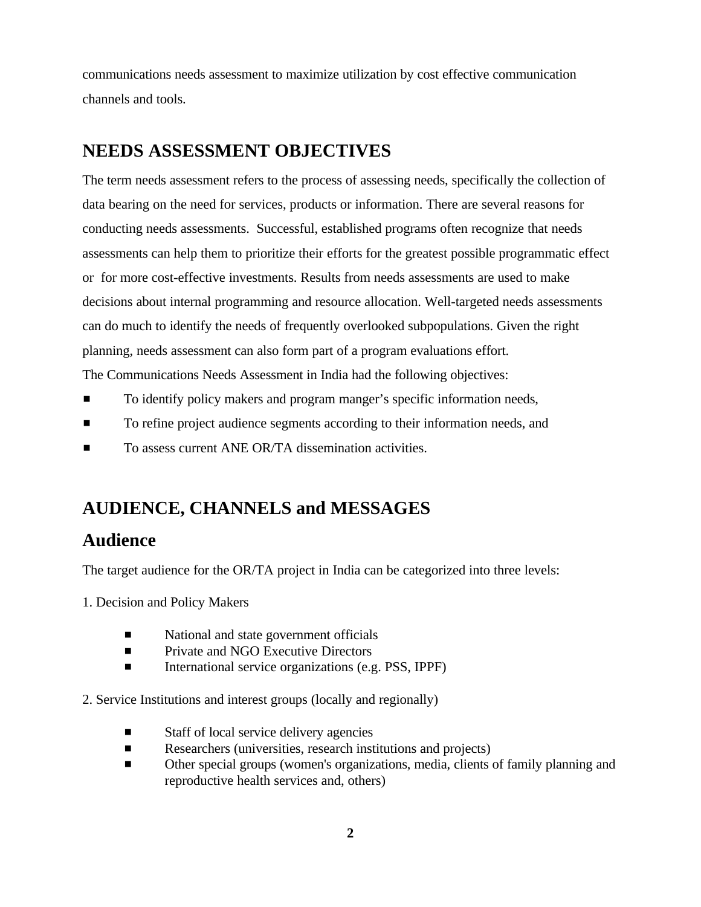communications needs assessment to maximize utilization by cost effective communication channels and tools.

# **NEEDS ASSESSMENT OBJECTIVES**

The term needs assessment refers to the process of assessing needs, specifically the collection of data bearing on the need for services, products or information. There are several reasons for conducting needs assessments. Successful, established programs often recognize that needs assessments can help them to prioritize their efforts for the greatest possible programmatic effect or for more cost-effective investments. Results from needs assessments are used to make decisions about internal programming and resource allocation. Well-targeted needs assessments can do much to identify the needs of frequently overlooked subpopulations. Given the right planning, needs assessment can also form part of a program evaluations effort. The Communications Needs Assessment in India had the following objectives:

- To identify policy makers and program manger's specific information needs,
- To refine project audience segments according to their information needs, and
- **To assess current ANE OR/TA dissemination activities.**

# **AUDIENCE, CHANNELS and MESSAGES**

### **Audience**

The target audience for the OR/TA project in India can be categorized into three levels:

1. Decision and Policy Makers

- $\blacksquare$  National and state government officials
- **EXECUTE:** Private and NGO Executive Directors
- **Example 3** International service organizations (e.g. PSS, IPPF)

2. Service Institutions and interest groups (locally and regionally)

- $\blacksquare$  Staff of local service delivery agencies
- $\blacksquare$  Researchers (universities, research institutions and projects)
- Other special groups (women's organizations, media, clients of family planning and reproductive health services and, others)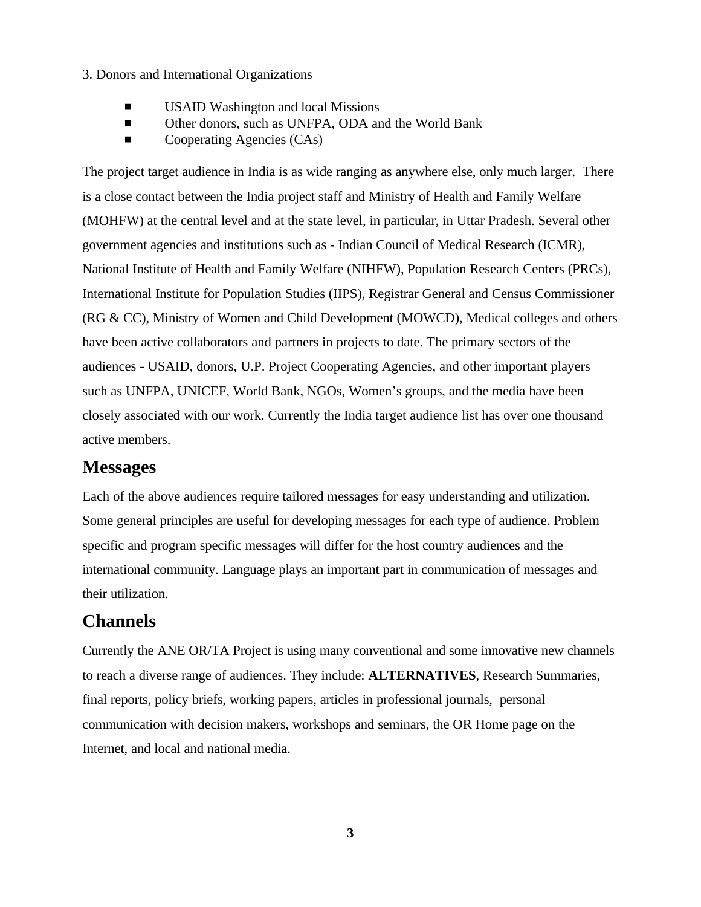#### 3. Donors and International Organizations

- $\blacksquare$  USAID Washington and local Missions
- **Example 3** Other donors, such as UNFPA, ODA and the World Bank
- $\blacksquare$  Cooperating Agencies (CAs)

The project target audience in India is as wide ranging as anywhere else, only much larger. There is a close contact between the India project staff and Ministry of Health and Family Welfare (MOHFW) at the central level and at the state level, in particular, in Uttar Pradesh. Several other government agencies and institutions such as - Indian Council of Medical Research (ICMR), National Institute of Health and Family Welfare (NIHFW), Population Research Centers (PRCs), International Institute for Population Studies (IIPS), Registrar General and Census Commissioner (RG & CC), Ministry of Women and Child Development (MOWCD), Medical colleges and others have been active collaborators and partners in projects to date. The primary sectors of the audiences - USAID, donors, U.P. Project Cooperating Agencies, and other important players such as UNFPA, UNICEF, World Bank, NGOs, Women's groups, and the media have been closely associated with our work. Currently the India target audience list has over one thousand active members.

#### **Messages**

Each of the above audiences require tailored messages for easy understanding and utilization. Some general principles are useful for developing messages for each type of audience. Problem specific and program specific messages will differ for the host country audiences and the international community. Language plays an important part in communication of messages and their utilization.

### **Channels**

Currently the ANE OR/TA Project is using many conventional and some innovative new channels to reach a diverse range of audiences. They include: **ALTERNATIVES**, Research Summaries, final reports, policy briefs, working papers, articles in professional journals, personal communication with decision makers, workshops and seminars, the OR Home page on the Internet, and local and national media.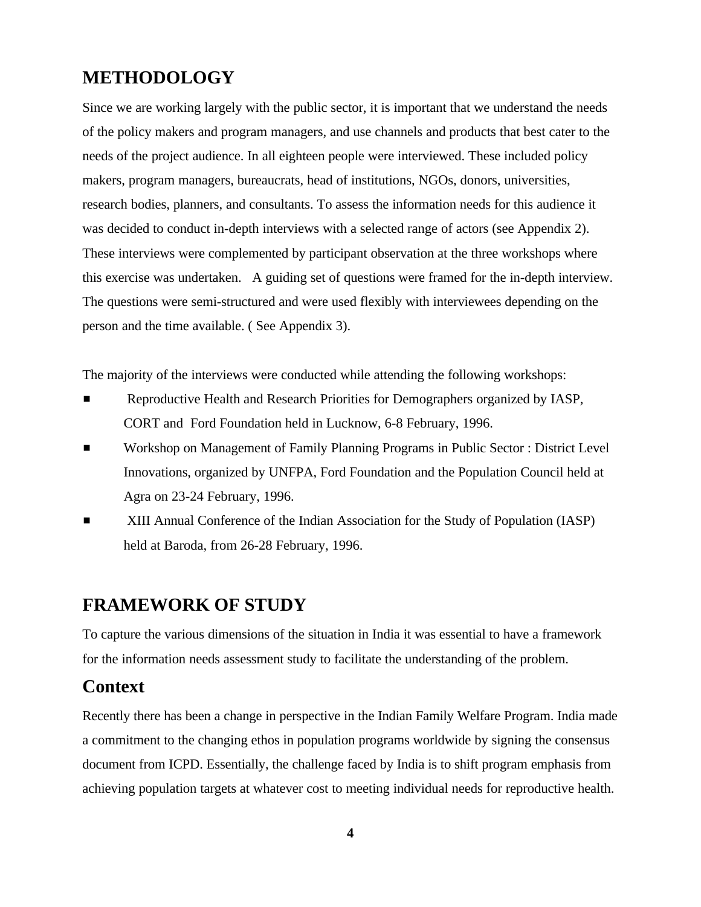## **METHODOLOGY**

Since we are working largely with the public sector, it is important that we understand the needs of the policy makers and program managers, and use channels and products that best cater to the needs of the project audience. In all eighteen people were interviewed. These included policy makers, program managers, bureaucrats, head of institutions, NGOs, donors, universities, research bodies, planners, and consultants. To assess the information needs for this audience it was decided to conduct in-depth interviews with a selected range of actors (see Appendix 2). These interviews were complemented by participant observation at the three workshops where this exercise was undertaken. A guiding set of questions were framed for the in-depth interview. The questions were semi-structured and were used flexibly with interviewees depending on the person and the time available. ( See Appendix 3).

The majority of the interviews were conducted while attending the following workshops:

- **EXECUTE:** Reproductive Health and Research Priorities for Demographers organized by IASP, CORT and Ford Foundation held in Lucknow, 6-8 February, 1996.
- **EXECT** Workshop on Management of Family Planning Programs in Public Sector : District Level Innovations, organized by UNFPA, Ford Foundation and the Population Council held at Agra on 23-24 February, 1996.
- # XIII Annual Conference of the Indian Association for the Study of Population (IASP) held at Baroda, from 26-28 February, 1996.

#### **FRAMEWORK OF STUDY**

To capture the various dimensions of the situation in India it was essential to have a framework for the information needs assessment study to facilitate the understanding of the problem.

#### **Context**

Recently there has been a change in perspective in the Indian Family Welfare Program. India made a commitment to the changing ethos in population programs worldwide by signing the consensus document from ICPD. Essentially, the challenge faced by India is to shift program emphasis from achieving population targets at whatever cost to meeting individual needs for reproductive health.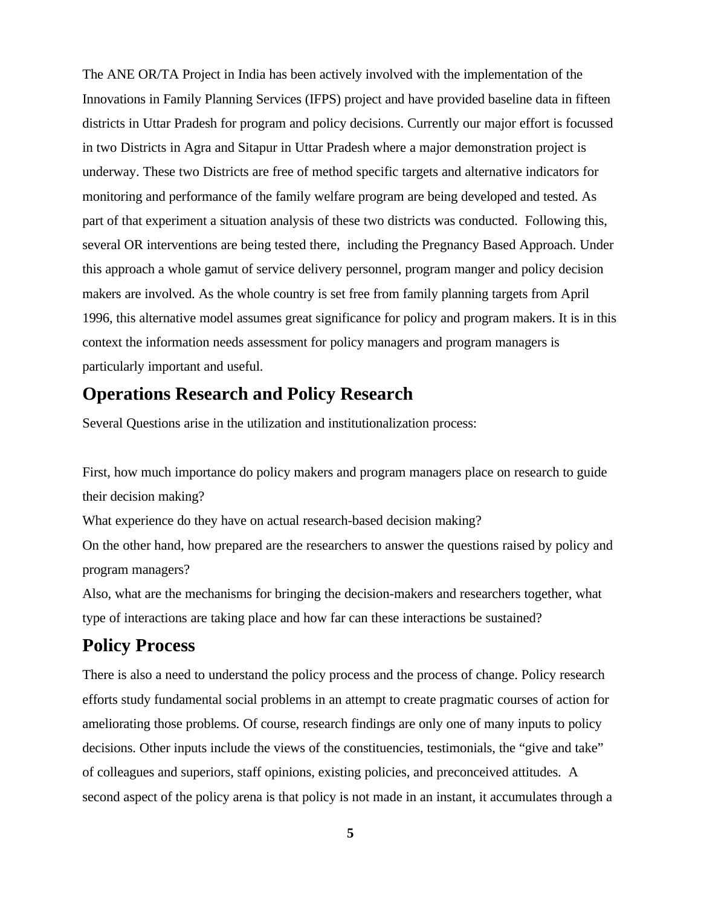The ANE OR/TA Project in India has been actively involved with the implementation of the Innovations in Family Planning Services (IFPS) project and have provided baseline data in fifteen districts in Uttar Pradesh for program and policy decisions. Currently our major effort is focussed in two Districts in Agra and Sitapur in Uttar Pradesh where a major demonstration project is underway. These two Districts are free of method specific targets and alternative indicators for monitoring and performance of the family welfare program are being developed and tested. As part of that experiment a situation analysis of these two districts was conducted. Following this, several OR interventions are being tested there, including the Pregnancy Based Approach. Under this approach a whole gamut of service delivery personnel, program manger and policy decision makers are involved. As the whole country is set free from family planning targets from April 1996, this alternative model assumes great significance for policy and program makers. It is in this context the information needs assessment for policy managers and program managers is particularly important and useful.

# **Operations Research and Policy Research**

Several Questions arise in the utilization and institutionalization process:

First, how much importance do policy makers and program managers place on research to guide their decision making?

What experience do they have on actual research-based decision making?

On the other hand, how prepared are the researchers to answer the questions raised by policy and program managers?

Also, what are the mechanisms for bringing the decision-makers and researchers together, what type of interactions are taking place and how far can these interactions be sustained?

# **Policy Process**

There is also a need to understand the policy process and the process of change. Policy research efforts study fundamental social problems in an attempt to create pragmatic courses of action for ameliorating those problems. Of course, research findings are only one of many inputs to policy decisions. Other inputs include the views of the constituencies, testimonials, the "give and take" of colleagues and superiors, staff opinions, existing policies, and preconceived attitudes. A second aspect of the policy arena is that policy is not made in an instant, it accumulates through a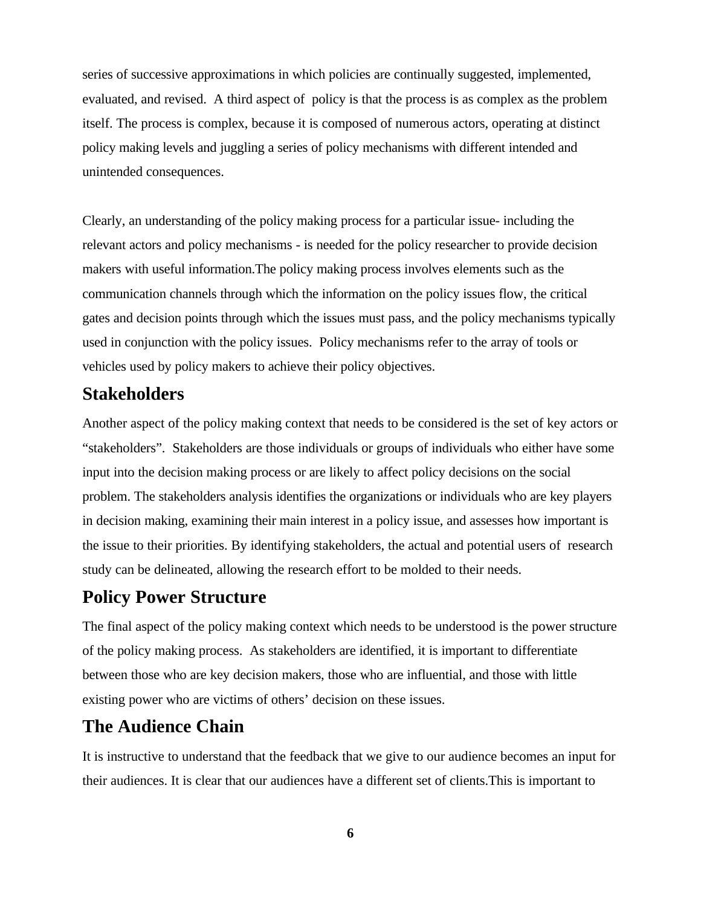series of successive approximations in which policies are continually suggested, implemented, evaluated, and revised. A third aspect of policy is that the process is as complex as the problem itself. The process is complex, because it is composed of numerous actors, operating at distinct policy making levels and juggling a series of policy mechanisms with different intended and unintended consequences.

Clearly, an understanding of the policy making process for a particular issue- including the relevant actors and policy mechanisms - is needed for the policy researcher to provide decision makers with useful information.The policy making process involves elements such as the communication channels through which the information on the policy issues flow, the critical gates and decision points through which the issues must pass, and the policy mechanisms typically used in conjunction with the policy issues. Policy mechanisms refer to the array of tools or vehicles used by policy makers to achieve their policy objectives.

#### **Stakeholders**

Another aspect of the policy making context that needs to be considered is the set of key actors or "stakeholders". Stakeholders are those individuals or groups of individuals who either have some input into the decision making process or are likely to affect policy decisions on the social problem. The stakeholders analysis identifies the organizations or individuals who are key players in decision making, examining their main interest in a policy issue, and assesses how important is the issue to their priorities. By identifying stakeholders, the actual and potential users of research study can be delineated, allowing the research effort to be molded to their needs.

## **Policy Power Structure**

The final aspect of the policy making context which needs to be understood is the power structure of the policy making process. As stakeholders are identified, it is important to differentiate between those who are key decision makers, those who are influential, and those with little existing power who are victims of others' decision on these issues.

#### **The Audience Chain**

It is instructive to understand that the feedback that we give to our audience becomes an input for their audiences. It is clear that our audiences have a different set of clients.This is important to

**6**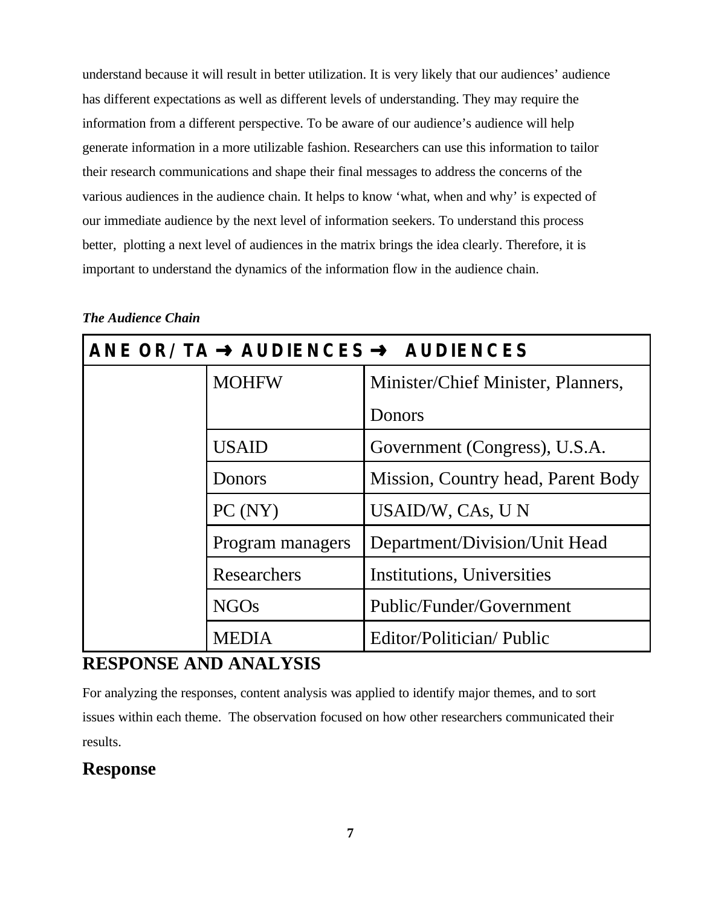understand because it will result in better utilization. It is very likely that our audiences' audience has different expectations as well as different levels of understanding. They may require the information from a different perspective. To be aware of our audience's audience will help generate information in a more utilizable fashion. Researchers can use this information to tailor their research communications and shape their final messages to address the concerns of the various audiences in the audience chain. It helps to know 'what, when and why' is expected of our immediate audience by the next level of information seekers. To understand this process better, plotting a next level of audiences in the matrix brings the idea clearly. Therefore, it is important to understand the dynamics of the information flow in the audience chain.

| ANE OR/TA $\rightarrow$ AUDIENCES $\rightarrow$ AUDIENCES |                  |                                    |
|-----------------------------------------------------------|------------------|------------------------------------|
|                                                           | <b>MOHFW</b>     | Minister/Chief Minister, Planners, |
|                                                           |                  | Donors                             |
|                                                           | <b>USAID</b>     | Government (Congress), U.S.A.      |
|                                                           | Donors           | Mission, Country head, Parent Body |
|                                                           | PC(NY)           | USAID/W, CAs, UN                   |
|                                                           | Program managers | Department/Division/Unit Head      |
|                                                           | Researchers      | Institutions, Universities         |
|                                                           | <b>NGOs</b>      | Public/Funder/Government           |
|                                                           | <b>MEDIA</b>     | Editor/Politician/Public           |

#### *The Audience Chain*

### **RESPONSE AND ANALYSIS**

For analyzing the responses, content analysis was applied to identify major themes, and to sort issues within each theme. The observation focused on how other researchers communicated their results.

# **Response**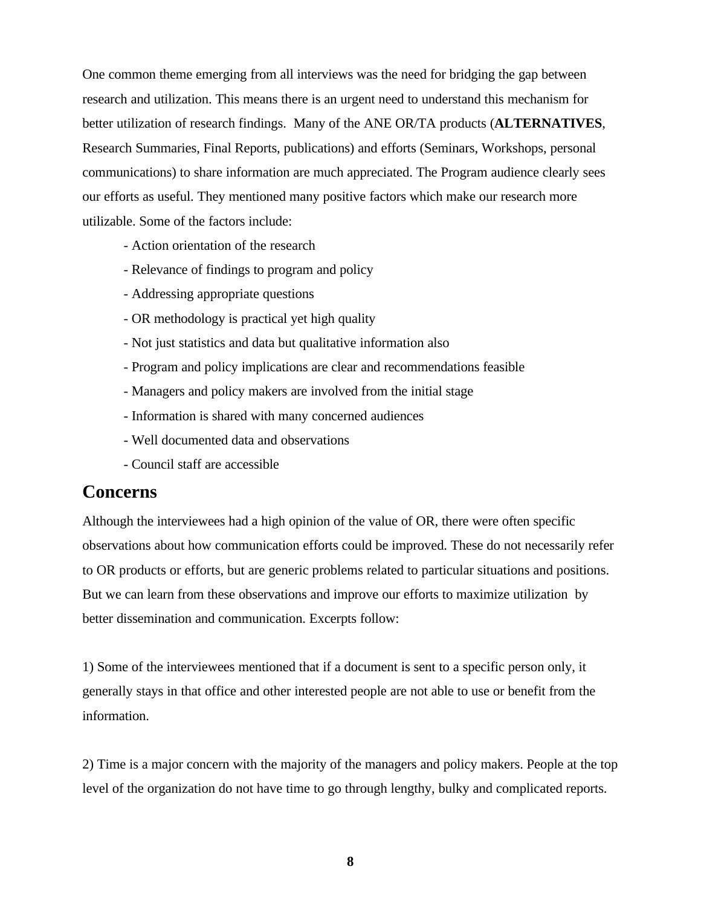One common theme emerging from all interviews was the need for bridging the gap between research and utilization. This means there is an urgent need to understand this mechanism for better utilization of research findings. Many of the ANE OR/TA products (**ALTERNATIVES**, Research Summaries, Final Reports, publications) and efforts (Seminars, Workshops, personal communications) to share information are much appreciated. The Program audience clearly sees our efforts as useful. They mentioned many positive factors which make our research more utilizable. Some of the factors include:

- Action orientation of the research
- Relevance of findings to program and policy
- Addressing appropriate questions
- OR methodology is practical yet high quality
- Not just statistics and data but qualitative information also
- Program and policy implications are clear and recommendations feasible
- Managers and policy makers are involved from the initial stage
- Information is shared with many concerned audiences
- Well documented data and observations
- Council staff are accessible

#### **Concerns**

Although the interviewees had a high opinion of the value of OR, there were often specific observations about how communication efforts could be improved. These do not necessarily refer to OR products or efforts, but are generic problems related to particular situations and positions. But we can learn from these observations and improve our efforts to maximize utilization by better dissemination and communication. Excerpts follow:

1) Some of the interviewees mentioned that if a document is sent to a specific person only, it generally stays in that office and other interested people are not able to use or benefit from the information.

2) Time is a major concern with the majority of the managers and policy makers. People at the top level of the organization do not have time to go through lengthy, bulky and complicated reports.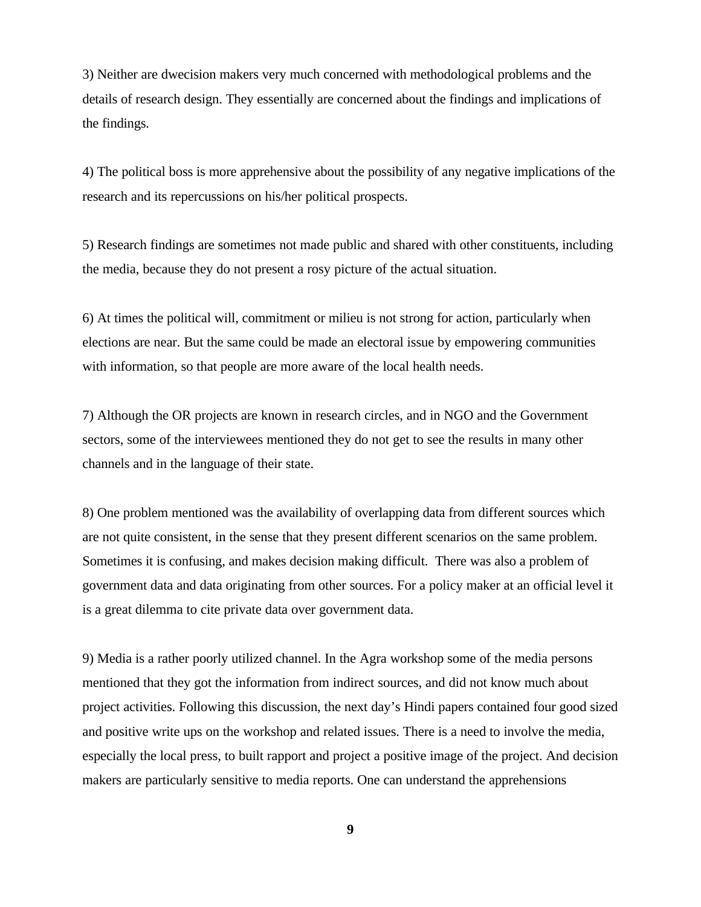3) Neither are dwecision makers very much concerned with methodological problems and the details of research design. They essentially are concerned about the findings and implications of the findings.

4) The political boss is more apprehensive about the possibility of any negative implications of the research and its repercussions on his/her political prospects.

5) Research findings are sometimes not made public and shared with other constituents, including the media, because they do not present a rosy picture of the actual situation.

6) At times the political will, commitment or milieu is not strong for action, particularly when elections are near. But the same could be made an electoral issue by empowering communities with information, so that people are more aware of the local health needs.

7) Although the OR projects are known in research circles, and in NGO and the Government sectors, some of the interviewees mentioned they do not get to see the results in many other channels and in the language of their state.

8) One problem mentioned was the availability of overlapping data from different sources which are not quite consistent, in the sense that they present different scenarios on the same problem. Sometimes it is confusing, and makes decision making difficult. There was also a problem of government data and data originating from other sources. For a policy maker at an official level it is a great dilemma to cite private data over government data.

9) Media is a rather poorly utilized channel. In the Agra workshop some of the media persons mentioned that they got the information from indirect sources, and did not know much about project activities. Following this discussion, the next day's Hindi papers contained four good sized and positive write ups on the workshop and related issues. There is a need to involve the media, especially the local press, to built rapport and project a positive image of the project. And decision makers are particularly sensitive to media reports. One can understand the apprehensions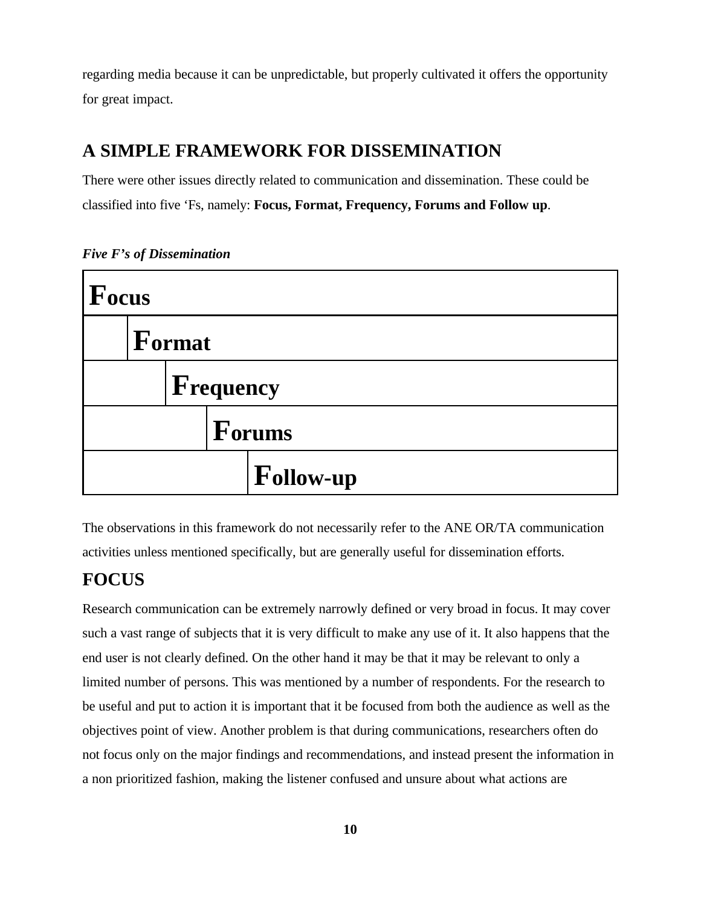regarding media because it can be unpredictable, but properly cultivated it offers the opportunity for great impact.

# **A SIMPLE FRAMEWORK FOR DISSEMINATION**

There were other issues directly related to communication and dissemination. These could be classified into five 'Fs, namely: **Focus, Format, Frequency, Forums and Follow up**.



*Five F's of Dissemination*

The observations in this framework do not necessarily refer to the ANE OR/TA communication activities unless mentioned specifically, but are generally useful for dissemination efforts.

#### **FOCUS**

Research communication can be extremely narrowly defined or very broad in focus. It may cover such a vast range of subjects that it is very difficult to make any use of it. It also happens that the end user is not clearly defined. On the other hand it may be that it may be relevant to only a limited number of persons. This was mentioned by a number of respondents. For the research to be useful and put to action it is important that it be focused from both the audience as well as the objectives point of view. Another problem is that during communications, researchers often do not focus only on the major findings and recommendations, and instead present the information in a non prioritized fashion, making the listener confused and unsure about what actions are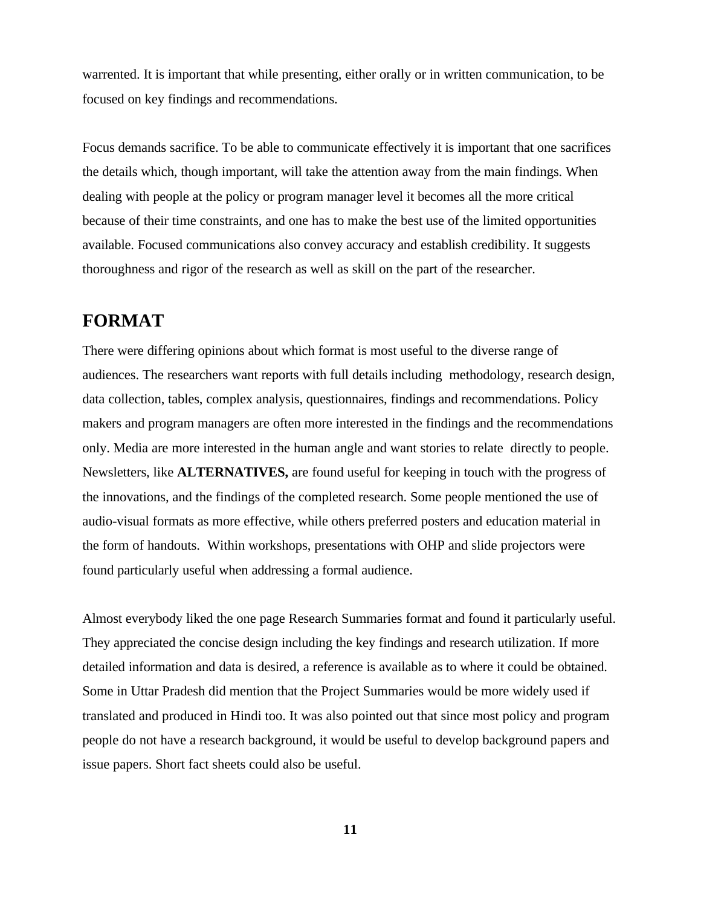warrented. It is important that while presenting, either orally or in written communication, to be focused on key findings and recommendations.

Focus demands sacrifice. To be able to communicate effectively it is important that one sacrifices the details which, though important, will take the attention away from the main findings. When dealing with people at the policy or program manager level it becomes all the more critical because of their time constraints, and one has to make the best use of the limited opportunities available. Focused communications also convey accuracy and establish credibility. It suggests thoroughness and rigor of the research as well as skill on the part of the researcher.

#### **FORMAT**

There were differing opinions about which format is most useful to the diverse range of audiences. The researchers want reports with full details including methodology, research design, data collection, tables, complex analysis, questionnaires, findings and recommendations. Policy makers and program managers are often more interested in the findings and the recommendations only. Media are more interested in the human angle and want stories to relate directly to people. Newsletters, like **ALTERNATIVES,** are found useful for keeping in touch with the progress of the innovations, and the findings of the completed research. Some people mentioned the use of audio-visual formats as more effective, while others preferred posters and education material in the form of handouts. Within workshops, presentations with OHP and slide projectors were found particularly useful when addressing a formal audience.

Almost everybody liked the one page Research Summaries format and found it particularly useful. They appreciated the concise design including the key findings and research utilization. If more detailed information and data is desired, a reference is available as to where it could be obtained. Some in Uttar Pradesh did mention that the Project Summaries would be more widely used if translated and produced in Hindi too. It was also pointed out that since most policy and program people do not have a research background, it would be useful to develop background papers and issue papers. Short fact sheets could also be useful.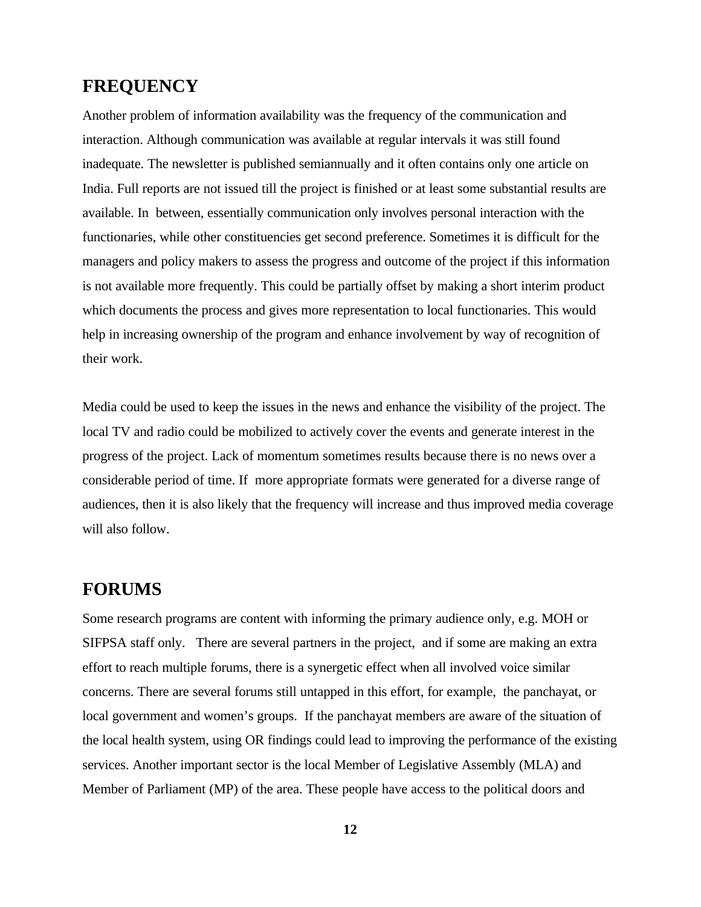#### **FREQUENCY**

Another problem of information availability was the frequency of the communication and interaction. Although communication was available at regular intervals it was still found inadequate. The newsletter is published semiannually and it often contains only one article on India. Full reports are not issued till the project is finished or at least some substantial results are available. In between, essentially communication only involves personal interaction with the functionaries, while other constituencies get second preference. Sometimes it is difficult for the managers and policy makers to assess the progress and outcome of the project if this information is not available more frequently. This could be partially offset by making a short interim product which documents the process and gives more representation to local functionaries. This would help in increasing ownership of the program and enhance involvement by way of recognition of their work.

Media could be used to keep the issues in the news and enhance the visibility of the project. The local TV and radio could be mobilized to actively cover the events and generate interest in the progress of the project. Lack of momentum sometimes results because there is no news over a considerable period of time. If more appropriate formats were generated for a diverse range of audiences, then it is also likely that the frequency will increase and thus improved media coverage will also follow.

# **FORUMS**

Some research programs are content with informing the primary audience only, e.g. MOH or SIFPSA staff only. There are several partners in the project, and if some are making an extra effort to reach multiple forums, there is a synergetic effect when all involved voice similar concerns. There are several forums still untapped in this effort, for example, the panchayat, or local government and women's groups. If the panchayat members are aware of the situation of the local health system, using OR findings could lead to improving the performance of the existing services. Another important sector is the local Member of Legislative Assembly (MLA) and Member of Parliament (MP) of the area. These people have access to the political doors and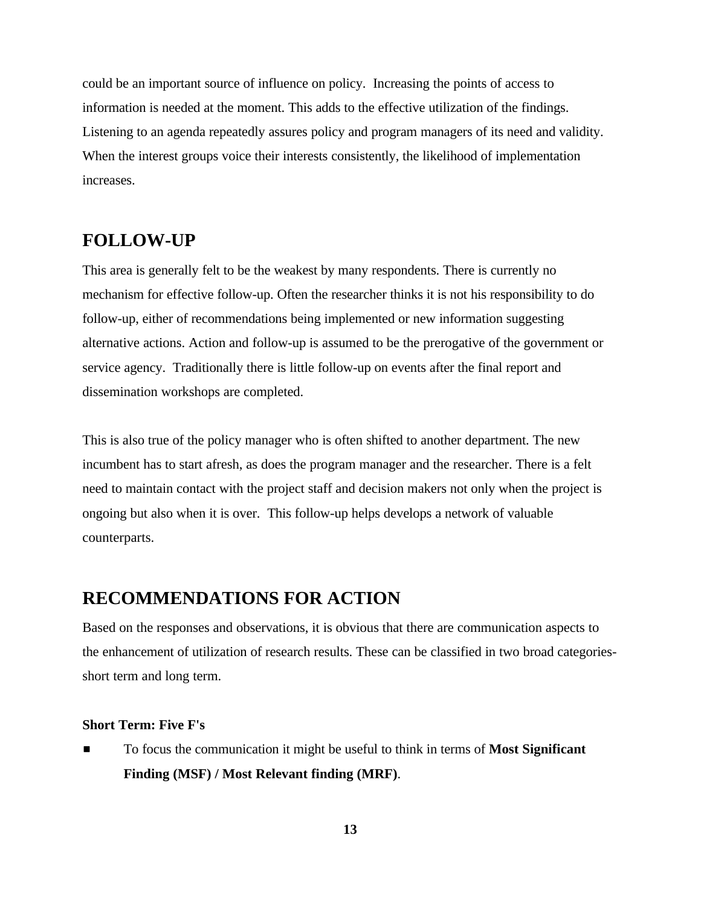could be an important source of influence on policy. Increasing the points of access to information is needed at the moment. This adds to the effective utilization of the findings. Listening to an agenda repeatedly assures policy and program managers of its need and validity. When the interest groups voice their interests consistently, the likelihood of implementation increases.

#### **FOLLOW-UP**

This area is generally felt to be the weakest by many respondents. There is currently no mechanism for effective follow-up. Often the researcher thinks it is not his responsibility to do follow-up, either of recommendations being implemented or new information suggesting alternative actions. Action and follow-up is assumed to be the prerogative of the government or service agency. Traditionally there is little follow-up on events after the final report and dissemination workshops are completed.

This is also true of the policy manager who is often shifted to another department. The new incumbent has to start afresh, as does the program manager and the researcher. There is a felt need to maintain contact with the project staff and decision makers not only when the project is ongoing but also when it is over. This follow-up helps develops a network of valuable counterparts.

#### **RECOMMENDATIONS FOR ACTION**

Based on the responses and observations, it is obvious that there are communication aspects to the enhancement of utilization of research results. These can be classified in two broad categoriesshort term and long term.

#### **Short Term: Five F's**

■ To focus the communication it might be useful to think in terms of **Most Significant Finding (MSF) / Most Relevant finding (MRF)**.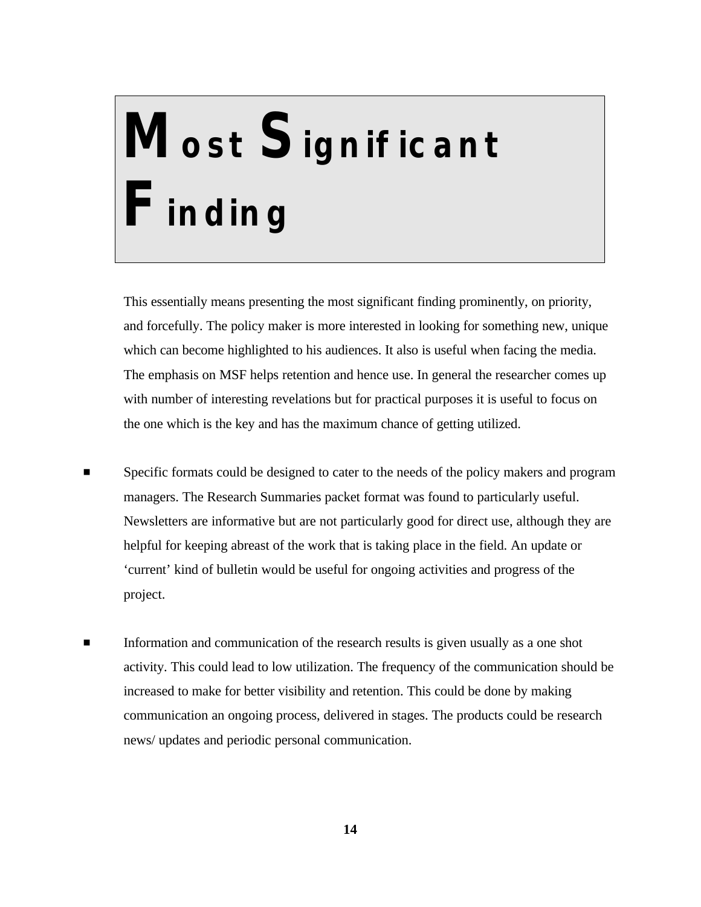# **Most Significant Finding**

This essentially means presenting the most significant finding prominently, on priority, and forcefully. The policy maker is more interested in looking for something new, unique which can become highlighted to his audiences. It also is useful when facing the media. The emphasis on MSF helps retention and hence use. In general the researcher comes up with number of interesting revelations but for practical purposes it is useful to focus on the one which is the key and has the maximum chance of getting utilized.

- Specific formats could be designed to cater to the needs of the policy makers and program managers. The Research Summaries packet format was found to particularly useful. Newsletters are informative but are not particularly good for direct use, although they are helpful for keeping abreast of the work that is taking place in the field. An update or 'current' kind of bulletin would be useful for ongoing activities and progress of the project.
- Information and communication of the research results is given usually as a one shot activity. This could lead to low utilization. The frequency of the communication should be increased to make for better visibility and retention. This could be done by making communication an ongoing process, delivered in stages. The products could be research news/ updates and periodic personal communication.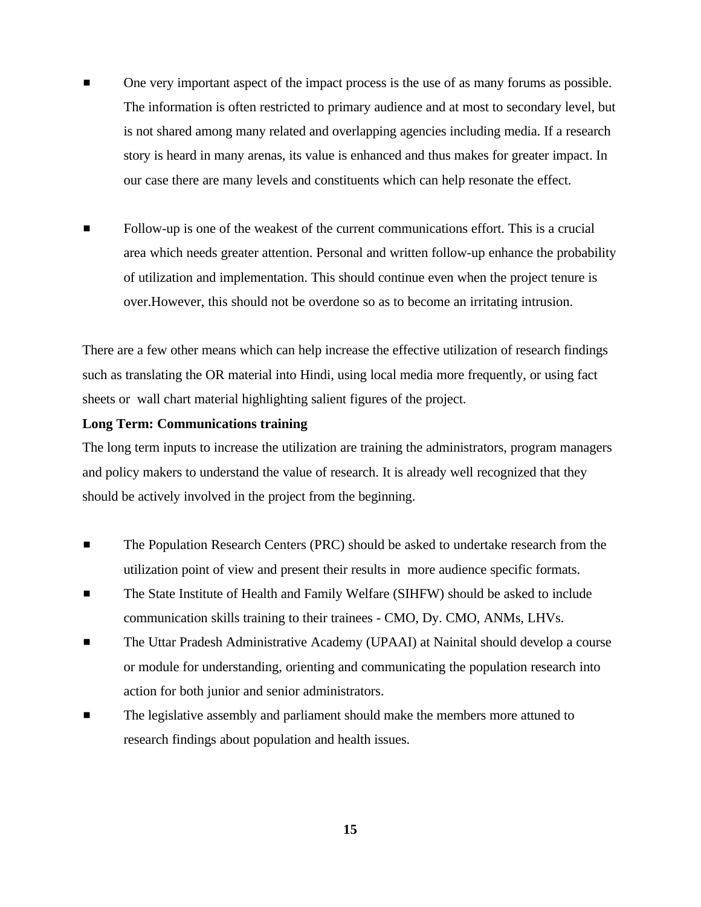- One very important aspect of the impact process is the use of as many forums as possible. The information is often restricted to primary audience and at most to secondary level, but is not shared among many related and overlapping agencies including media. If a research story is heard in many arenas, its value is enhanced and thus makes for greater impact. In our case there are many levels and constituents which can help resonate the effect.
- Follow-up is one of the weakest of the current communications effort. This is a crucial area which needs greater attention. Personal and written follow-up enhance the probability of utilization and implementation. This should continue even when the project tenure is over.However, this should not be overdone so as to become an irritating intrusion.

There are a few other means which can help increase the effective utilization of research findings such as translating the OR material into Hindi, using local media more frequently, or using fact sheets or wall chart material highlighting salient figures of the project.

#### **Long Term: Communications training**

The long term inputs to increase the utilization are training the administrators, program managers and policy makers to understand the value of research. It is already well recognized that they should be actively involved in the project from the beginning.

- **EXECUTE:** The Population Research Centers (PRC) should be asked to undertake research from the utilization point of view and present their results in more audience specific formats.
- **The State Institute of Health and Family Welfare (SIHFW) should be asked to include** communication skills training to their trainees - CMO, Dy. CMO, ANMs, LHVs.
- **The Uttar Pradesh Administrative Academy (UPAAI) at Nainital should develop a course** or module for understanding, orienting and communicating the population research into action for both junior and senior administrators.
- The legislative assembly and parliament should make the members more attuned to research findings about population and health issues.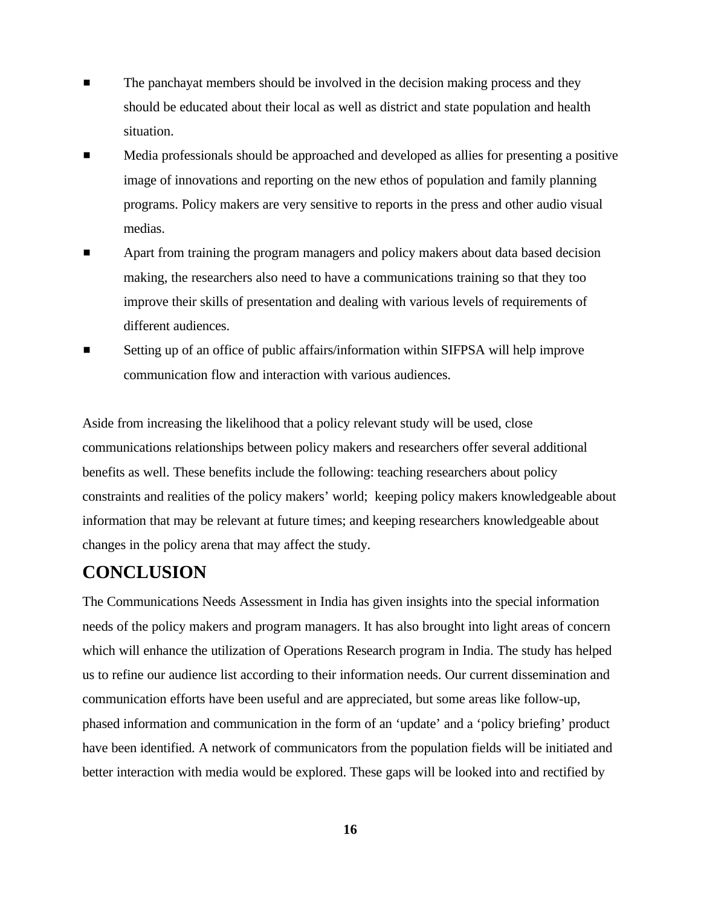- The panchayat members should be involved in the decision making process and they should be educated about their local as well as district and state population and health situation.
- Media professionals should be approached and developed as allies for presenting a positive image of innovations and reporting on the new ethos of population and family planning programs. Policy makers are very sensitive to reports in the press and other audio visual medias.
- Apart from training the program managers and policy makers about data based decision making, the researchers also need to have a communications training so that they too improve their skills of presentation and dealing with various levels of requirements of different audiences.
- Setting up of an office of public affairs/information within SIFPSA will help improve communication flow and interaction with various audiences.

Aside from increasing the likelihood that a policy relevant study will be used, close communications relationships between policy makers and researchers offer several additional benefits as well. These benefits include the following: teaching researchers about policy constraints and realities of the policy makers' world; keeping policy makers knowledgeable about information that may be relevant at future times; and keeping researchers knowledgeable about changes in the policy arena that may affect the study.

### **CONCLUSION**

The Communications Needs Assessment in India has given insights into the special information needs of the policy makers and program managers. It has also brought into light areas of concern which will enhance the utilization of Operations Research program in India. The study has helped us to refine our audience list according to their information needs. Our current dissemination and communication efforts have been useful and are appreciated, but some areas like follow-up, phased information and communication in the form of an 'update' and a 'policy briefing' product have been identified. A network of communicators from the population fields will be initiated and better interaction with media would be explored. These gaps will be looked into and rectified by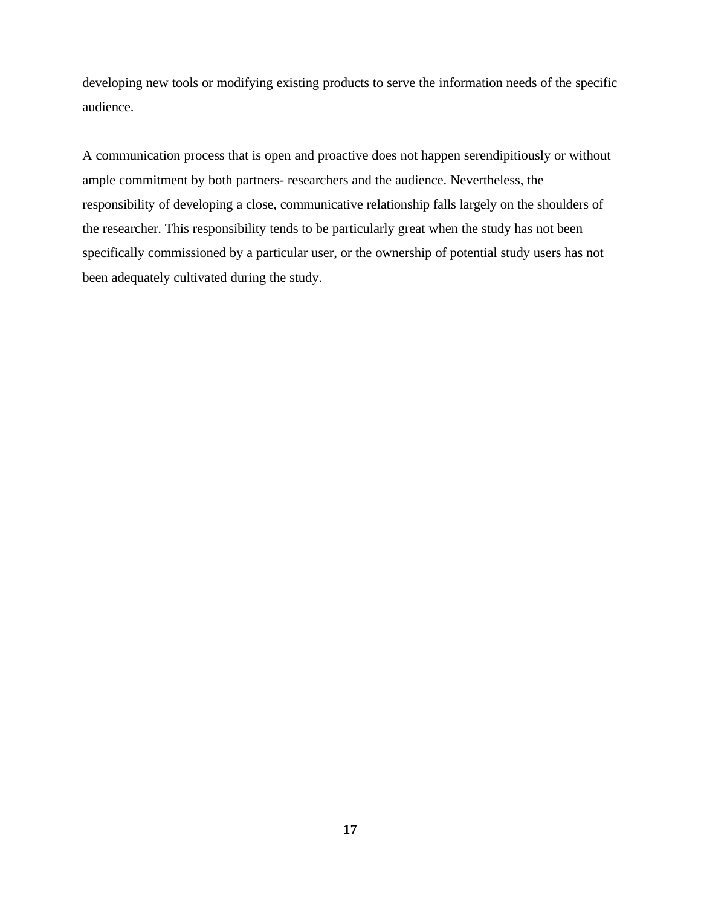developing new tools or modifying existing products to serve the information needs of the specific audience.

A communication process that is open and proactive does not happen serendipitiously or without ample commitment by both partners- researchers and the audience. Nevertheless, the responsibility of developing a close, communicative relationship falls largely on the shoulders of the researcher. This responsibility tends to be particularly great when the study has not been specifically commissioned by a particular user, or the ownership of potential study users has not been adequately cultivated during the study.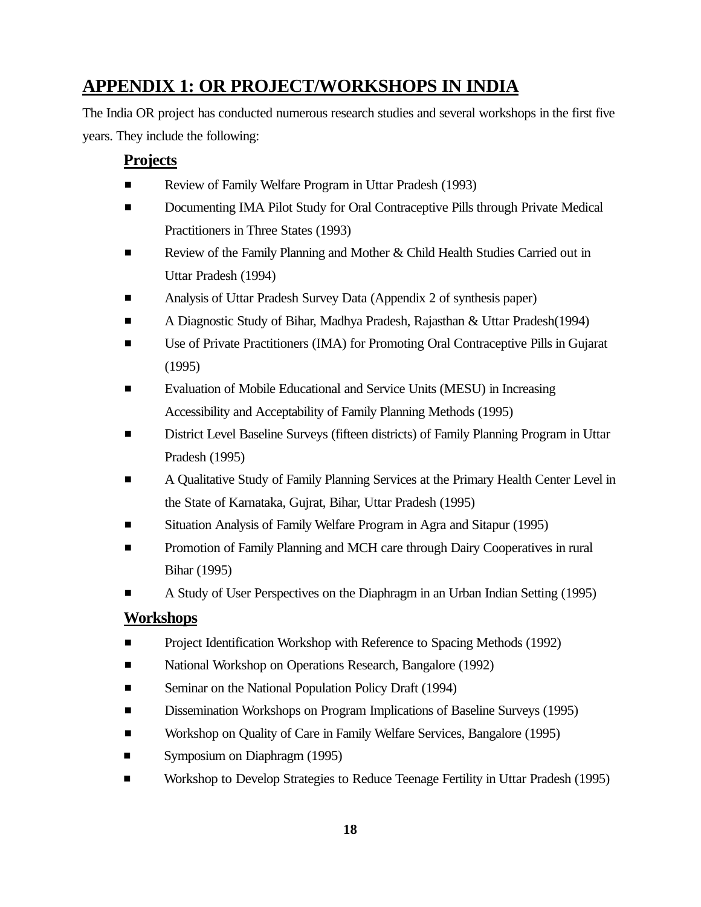# **APPENDIX 1: OR PROJECT/WORKSHOPS IN INDIA**

The India OR project has conducted numerous research studies and several workshops in the first five years. They include the following:

#### **Projects**

- **Exercise** Review of Family Welfare Program in Uttar Pradesh (1993)
- Documenting IMA Pilot Study for Oral Contraceptive Pills through Private Medical Practitioners in Three States (1993)
- Review of the Family Planning and Mother & Child Health Studies Carried out in Uttar Pradesh (1994)
- **Example 3** Analysis of Uttar Pradesh Survey Data (Appendix 2 of synthesis paper)
- **EXECUTE:** A Diagnostic Study of Bihar, Madhya Pradesh, Rajasthan & Uttar Pradesh(1994)
- **Example 3** Use of Private Practitioners (IMA) for Promoting Oral Contraceptive Pills in Gujarat (1995)
- Evaluation of Mobile Educational and Service Units (MESU) in Increasing Accessibility and Acceptability of Family Planning Methods (1995)
- **Exercise Exercise Surveys (fifteen districts) of Family Planning Program in Uttar** Pradesh (1995)
- # A Qualitative Study of Family Planning Services at the Primary Health Center Level in the State of Karnataka, Gujrat, Bihar, Uttar Pradesh (1995)
- Situation Analysis of Family Welfare Program in Agra and Sitapur (1995)
- Promotion of Family Planning and MCH care through Dairy Cooperatives in rural Bihar (1995)
- # A Study of User Perspectives on the Diaphragm in an Urban Indian Setting (1995)

#### **Workshops**

- **Example 2** Project Identification Workshop with Reference to Spacing Methods (1992)
- **Example 3** National Workshop on Operations Research, Bangalore (1992)
- **Exercise Seminar on the National Population Policy Draft (1994)**
- **Example 3** Dissemination Workshops on Program Implications of Baseline Surveys (1995)
- **Example 3** Workshop on Quality of Care in Family Welfare Services, Bangalore (1995)
- **Exercise Symposium on Diaphragm (1995)**
- **EXECUTE:** Workshop to Develop Strategies to Reduce Teenage Fertility in Uttar Pradesh (1995)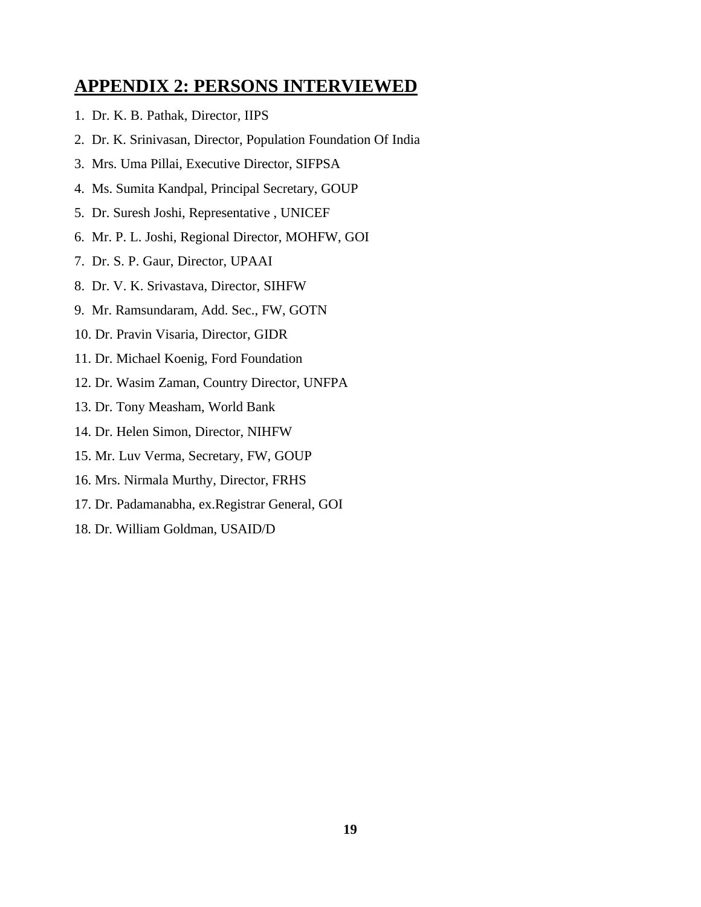# **APPENDIX 2: PERSONS INTERVIEWED**

- 1. Dr. K. B. Pathak, Director, IIPS
- 2. Dr. K. Srinivasan, Director, Population Foundation Of India
- 3. Mrs. Uma Pillai, Executive Director, SIFPSA
- 4. Ms. Sumita Kandpal, Principal Secretary, GOUP
- 5. Dr. Suresh Joshi, Representative , UNICEF
- 6. Mr. P. L. Joshi, Regional Director, MOHFW, GOI
- 7. Dr. S. P. Gaur, Director, UPAAI
- 8. Dr. V. K. Srivastava, Director, SIHFW
- 9. Mr. Ramsundaram, Add. Sec., FW, GOTN
- 10. Dr. Pravin Visaria, Director, GIDR
- 11. Dr. Michael Koenig, Ford Foundation
- 12. Dr. Wasim Zaman, Country Director, UNFPA
- 13. Dr. Tony Measham, World Bank
- 14. Dr. Helen Simon, Director, NIHFW
- 15. Mr. Luv Verma, Secretary, FW, GOUP
- 16. Mrs. Nirmala Murthy, Director, FRHS
- 17. Dr. Padamanabha, ex.Registrar General, GOI
- 18. Dr. William Goldman, USAID/D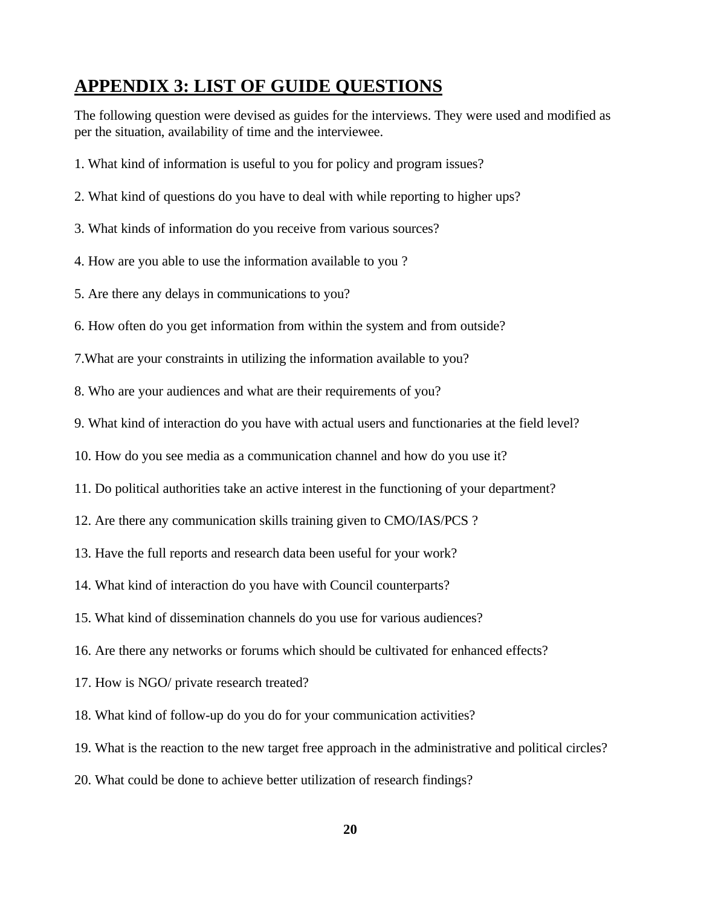# **APPENDIX 3: LIST OF GUIDE QUESTIONS**

The following question were devised as guides for the interviews. They were used and modified as per the situation, availability of time and the interviewee.

- 1. What kind of information is useful to you for policy and program issues?
- 2. What kind of questions do you have to deal with while reporting to higher ups?
- 3. What kinds of information do you receive from various sources?
- 4. How are you able to use the information available to you ?
- 5. Are there any delays in communications to you?
- 6. How often do you get information from within the system and from outside?
- 7.What are your constraints in utilizing the information available to you?
- 8. Who are your audiences and what are their requirements of you?
- 9. What kind of interaction do you have with actual users and functionaries at the field level?
- 10. How do you see media as a communication channel and how do you use it?
- 11. Do political authorities take an active interest in the functioning of your department?
- 12. Are there any communication skills training given to CMO/IAS/PCS ?
- 13. Have the full reports and research data been useful for your work?
- 14. What kind of interaction do you have with Council counterparts?
- 15. What kind of dissemination channels do you use for various audiences?
- 16. Are there any networks or forums which should be cultivated for enhanced effects?
- 17. How is NGO/ private research treated?
- 18. What kind of follow-up do you do for your communication activities?
- 19. What is the reaction to the new target free approach in the administrative and political circles?
- 20. What could be done to achieve better utilization of research findings?